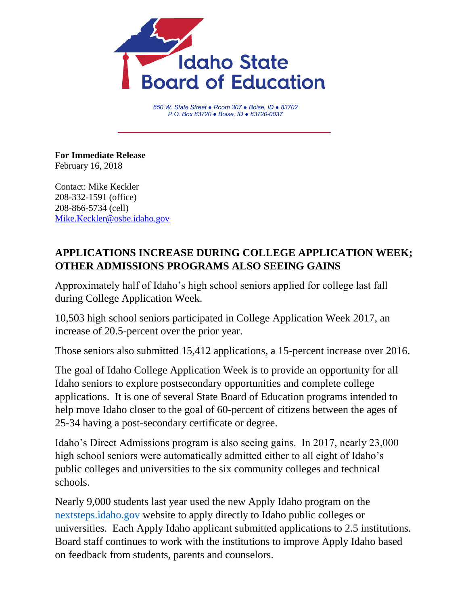

*650 W. State Street ● Room 307 ● Boise, ID ● 83702 P.O. Box 83720 ● Boise, ID ● 83720-0037*

**For Immediate Release** February 16, 2018

Contact: Mike Keckler 208-332-1591 (office) 208-866-5734 (cell) [Mike.Keckler@osbe.idaho.gov](mailto:Mike.Keckler@osbe.idaho.gov)

## **APPLICATIONS INCREASE DURING COLLEGE APPLICATION WEEK; OTHER ADMISSIONS PROGRAMS ALSO SEEING GAINS**

Approximately half of Idaho's high school seniors applied for college last fall during College Application Week.

10,503 high school seniors participated in College Application Week 2017, an increase of 20.5-percent over the prior year.

Those seniors also submitted 15,412 applications, a 15-percent increase over 2016.

The goal of Idaho College Application Week is to provide an opportunity for all Idaho seniors to explore postsecondary opportunities and complete college applications. It is one of several State Board of Education programs intended to help move Idaho closer to the goal of 60-percent of citizens between the ages of 25-34 having a post-secondary certificate or degree.

Idaho's Direct Admissions program is also seeing gains. In 2017, nearly 23,000 high school seniors were automatically admitted either to all eight of Idaho's public colleges and universities to the six community colleges and technical schools.

Nearly 9,000 students last year used the new Apply Idaho program on the [nextsteps.idaho.gov](https://nextsteps.idaho.gov/) website to apply directly to Idaho public colleges or universities. Each Apply Idaho applicant submitted applications to 2.5 institutions. Board staff continues to work with the institutions to improve Apply Idaho based on feedback from students, parents and counselors.